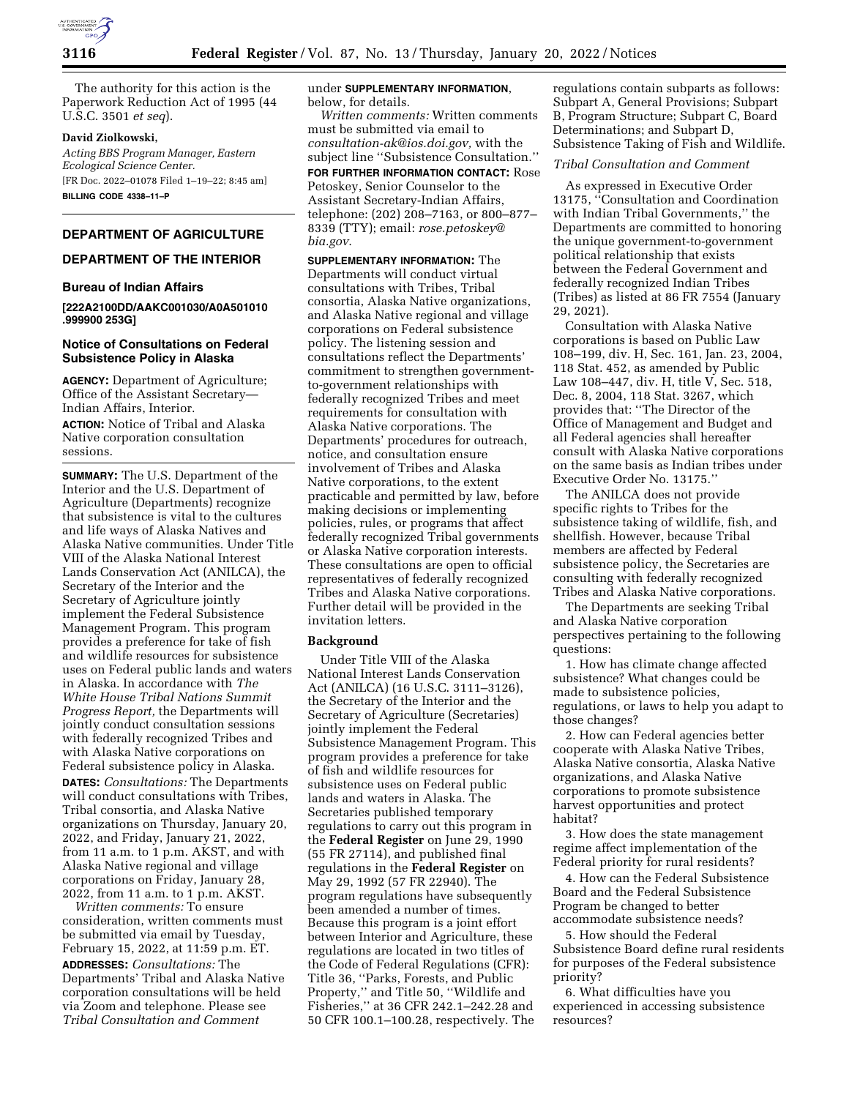

The authority for this action is the Paperwork Reduction Act of 1995 (44 U.S.C. 3501 *et seq*).

## **David Ziolkowski,**

*Acting BBS Program Manager, Eastern Ecological Science Center.*  [FR Doc. 2022–01078 Filed 1–19–22; 8:45 am] **BILLING CODE 4338–11–P** 

# **DEPARTMENT OF AGRICULTURE**

# **DEPARTMENT OF THE INTERIOR**

## **Bureau of Indian Affairs**

**[222A2100DD/AAKC001030/A0A501010 .999900 253G]** 

## **Notice of Consultations on Federal Subsistence Policy in Alaska**

**AGENCY:** Department of Agriculture; Office of the Assistant Secretary— Indian Affairs, Interior.

**ACTION:** Notice of Tribal and Alaska Native corporation consultation sessions.

**SUMMARY:** The U.S. Department of the Interior and the U.S. Department of Agriculture (Departments) recognize that subsistence is vital to the cultures and life ways of Alaska Natives and Alaska Native communities. Under Title VIII of the Alaska National Interest Lands Conservation Act (ANILCA), the Secretary of the Interior and the Secretary of Agriculture jointly implement the Federal Subsistence Management Program. This program provides a preference for take of fish and wildlife resources for subsistence uses on Federal public lands and waters in Alaska. In accordance with *The White House Tribal Nations Summit Progress Report,* the Departments will jointly conduct consultation sessions with federally recognized Tribes and with Alaska Native corporations on Federal subsistence policy in Alaska.

**DATES:** *Consultations:* The Departments will conduct consultations with Tribes, Tribal consortia, and Alaska Native organizations on Thursday, January 20, 2022, and Friday, January 21, 2022, from 11 a.m. to 1 p.m. AKST, and with Alaska Native regional and village corporations on Friday, January 28, 2022, from 11 a.m. to 1 p.m. AKST.

*Written comments:* To ensure consideration, written comments must be submitted via email by Tuesday, February 15, 2022, at 11:59 p.m. ET.

**ADDRESSES:** *Consultations:* The Departments' Tribal and Alaska Native corporation consultations will be held via Zoom and telephone. Please see *Tribal Consultation and Comment* 

## under **SUPPLEMENTARY INFORMATION**, below, for details.

*Written comments:* Written comments must be submitted via email to *[consultation-ak@ios.doi.gov,](mailto:consultation-ak@ios.doi.gov)* with the subject line ''Subsistence Consultation.'' **FOR FURTHER INFORMATION CONTACT:** Rose Petoskey, Senior Counselor to the Assistant Secretary-Indian Affairs, telephone: (202) 208–7163, or 800–877– 8339 (TTY); email: *[rose.petoskey@](mailto:rose.petoskey@bia.gov) [bia.gov](mailto:rose.petoskey@bia.gov)*.

**SUPPLEMENTARY INFORMATION:** The Departments will conduct virtual consultations with Tribes, Tribal consortia, Alaska Native organizations, and Alaska Native regional and village corporations on Federal subsistence policy. The listening session and consultations reflect the Departments' commitment to strengthen governmentto-government relationships with federally recognized Tribes and meet requirements for consultation with Alaska Native corporations. The Departments' procedures for outreach, notice, and consultation ensure involvement of Tribes and Alaska Native corporations, to the extent practicable and permitted by law, before making decisions or implementing policies, rules, or programs that affect federally recognized Tribal governments or Alaska Native corporation interests. These consultations are open to official representatives of federally recognized Tribes and Alaska Native corporations. Further detail will be provided in the invitation letters.

## **Background**

Under Title VIII of the Alaska National Interest Lands Conservation Act (ANILCA) (16 U.S.C. 3111–3126), the Secretary of the Interior and the Secretary of Agriculture (Secretaries) jointly implement the Federal Subsistence Management Program. This program provides a preference for take of fish and wildlife resources for subsistence uses on Federal public lands and waters in Alaska. The Secretaries published temporary regulations to carry out this program in the **Federal Register** on June 29, 1990 (55 FR 27114), and published final regulations in the **Federal Register** on May 29, 1992 (57 FR 22940). The program regulations have subsequently been amended a number of times. Because this program is a joint effort between Interior and Agriculture, these regulations are located in two titles of the Code of Federal Regulations (CFR): Title 36, ''Parks, Forests, and Public Property,'' and Title 50, ''Wildlife and Fisheries,'' at 36 CFR 242.1–242.28 and 50 CFR 100.1–100.28, respectively. The

regulations contain subparts as follows: Subpart A, General Provisions; Subpart B, Program Structure; Subpart C, Board Determinations; and Subpart D, Subsistence Taking of Fish and Wildlife.

## *Tribal Consultation and Comment*

As expressed in Executive Order 13175, ''Consultation and Coordination with Indian Tribal Governments,'' the Departments are committed to honoring the unique government-to-government political relationship that exists between the Federal Government and federally recognized Indian Tribes (Tribes) as listed at 86 FR 7554 (January 29, 2021).

Consultation with Alaska Native corporations is based on Public Law 108–199, div. H, Sec. 161, Jan. 23, 2004, 118 Stat. 452, as amended by Public Law 108–447, div. H, title V, Sec. 518, Dec. 8, 2004, 118 Stat. 3267, which provides that: ''The Director of the Office of Management and Budget and all Federal agencies shall hereafter consult with Alaska Native corporations on the same basis as Indian tribes under Executive Order No. 13175.''

The ANILCA does not provide specific rights to Tribes for the subsistence taking of wildlife, fish, and shellfish. However, because Tribal members are affected by Federal subsistence policy, the Secretaries are consulting with federally recognized Tribes and Alaska Native corporations.

The Departments are seeking Tribal and Alaska Native corporation perspectives pertaining to the following questions:

1. How has climate change affected subsistence? What changes could be made to subsistence policies, regulations, or laws to help you adapt to those changes?

2. How can Federal agencies better cooperate with Alaska Native Tribes, Alaska Native consortia, Alaska Native organizations, and Alaska Native corporations to promote subsistence harvest opportunities and protect habitat?

3. How does the state management regime affect implementation of the Federal priority for rural residents?

4. How can the Federal Subsistence Board and the Federal Subsistence Program be changed to better accommodate subsistence needs?

5. How should the Federal Subsistence Board define rural residents for purposes of the Federal subsistence priority?

6. What difficulties have you experienced in accessing subsistence resources?